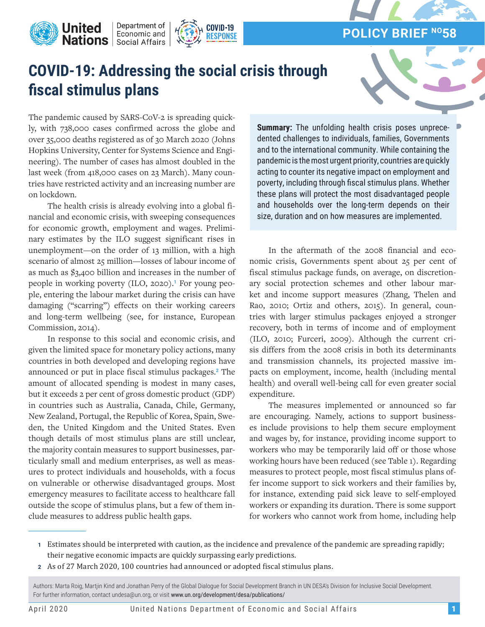

## **COVID-19: Addressing the social crisis through fiscal stimulus plans**

**COVID-19 RESPONSE** 



The pandemic caused by SARS-CoV-2 is spreading quickly, with 738,000 cases confirmed across the globe and over 35,000 deaths registered as of 30 March 2020 (Johns Hopkins University, Center for Systems Science and Engineering). The number of cases has almost doubled in the last week (from 418,000 cases on 23 March). Many countries have restricted activity and an increasing number are on lockdown.

**Inited** | Department of | Economic and | Economic and |

**United** 

The health crisis is already evolving into a global financial and economic crisis, with sweeping consequences for economic growth, employment and wages. Preliminary estimates by the ILO suggest significant rises in unemployment—on the order of 13 million, with a high scenario of almost 25 million—losses of labour income of as much as \$3,400 billion and increases in the number of people in working poverty (ILO, 2020).**1** For young people, entering the labour market during the crisis can have damaging ("scarring") effects on their working careers and long-term wellbeing (see, for instance, European Commission, 2014).

In response to this social and economic crisis, and given the limited space for monetary policy actions, many countries in both developed and developing regions have announced or put in place fiscal stimulus packages.**2** The amount of allocated spending is modest in many cases, but it exceeds 2 per cent of gross domestic product (GDP) in countries such as Australia, Canada, Chile, Germany, New Zealand, Portugal, the Republic of Korea, Spain, Sweden, the United Kingdom and the United States. Even though details of most stimulus plans are still unclear, the majority contain measures to support businesses, particularly small and medium enterprises, as well as measures to protect individuals and households, with a focus on vulnerable or otherwise disadvantaged groups. Most emergency measures to facilitate access to healthcare fall outside the scope of stimulus plans, but a few of them include measures to address public health gaps.

**Summary:** The unfolding health crisis poses unprecedented challenges to individuals, families, Governments and to the international community. While containing the pandemic is the most urgent priority, countries are quickly acting to counter its negative impact on employment and poverty, including through fiscal stimulus plans. Whether these plans will protect the most disadvantaged people and households over the long-term depends on their size, duration and on how measures are implemented.

In the aftermath of the 2008 financial and economic crisis, Governments spent about 25 per cent of fiscal stimulus package funds, on average, on discretionary social protection schemes and other labour market and income support measures (Zhang, Thelen and Rao, 2010; Ortiz and others, 2015). In general, countries with larger stimulus packages enjoyed a stronger recovery, both in terms of income and of employment (ILO, 2010; Furceri, 2009). Although the current crisis differs from the 2008 crisis in both its determinants and transmission channels, its projected massive impacts on employment, income, health (including mental health) and overall well-being call for even greater social expenditure.

The measures implemented or announced so far are encouraging. Namely, actions to support businesses include provisions to help them secure employment and wages by, for instance, providing income support to workers who may be temporarily laid off or those whose working hours have been reduced (see Table 1). Regarding measures to protect people, most fiscal stimulus plans offer income support to sick workers and their families by, for instance, extending paid sick leave to self-employed workers or expanding its duration. There is some support for workers who cannot work from home, including help

**<sup>2</sup>** As of 27 March 2020, 100 countries had announced or adopted fiscal stimulus plans.

Authors: Marta Roig, Martjin Kind and Jonathan Perry of the Global Dialogue for Social Development Branch in UN DESA's Division for Inclusive Social Development. For further information, contact undesa@un.org, or visit www.un.org/development/desa/publications/

**<sup>1</sup>** Estimates should be interpreted with caution, as the incidence and prevalence of the pandemic are spreading rapidly; their negative economic impacts are quickly surpassing early predictions.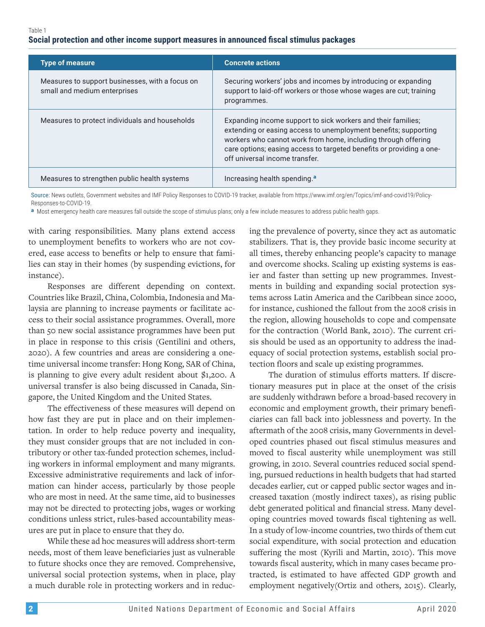## **Social protection and other income support measures in announced fiscal stimulus packages**

| <b>Type of measure</b>                                                          | <b>Concrete actions</b>                                                                                                                                                                                                                                                                                    |
|---------------------------------------------------------------------------------|------------------------------------------------------------------------------------------------------------------------------------------------------------------------------------------------------------------------------------------------------------------------------------------------------------|
| Measures to support businesses, with a focus on<br>small and medium enterprises | Securing workers' jobs and incomes by introducing or expanding<br>support to laid-off workers or those whose wages are cut; training<br>programmes.                                                                                                                                                        |
| Measures to protect individuals and households                                  | Expanding income support to sick workers and their families;<br>extending or easing access to unemployment benefits; supporting<br>workers who cannot work from home, including through offering<br>care options; easing access to targeted benefits or providing a one-<br>off universal income transfer. |
| Measures to strengthen public health systems                                    | Increasing health spending. <sup>a</sup>                                                                                                                                                                                                                                                                   |

Source: News outlets, Government websites and IMF Policy Responses to COVID-19 tracker, available from https://www.imf.org/en/Topics/imf-and-covid19/Policy-Responses-to-COVID-19.

**a** Most emergency health care measures fall outside the scope of stimulus plans; only a few include measures to address public health gaps.

with caring responsibilities. Many plans extend access to unemployment benefits to workers who are not covered, ease access to benefits or help to ensure that families can stay in their homes (by suspending evictions, for instance).

Responses are different depending on context. Countries like Brazil, China, Colombia, Indonesia and Malaysia are planning to increase payments or facilitate access to their social assistance programmes. Overall, more than 50 new social assistance programmes have been put in place in response to this crisis (Gentilini and others, 2020). A few countries and areas are considering a onetime universal income transfer: Hong Kong, SAR of China, is planning to give every adult resident about \$1,200. A universal transfer is also being discussed in Canada, Singapore, the United Kingdom and the United States.

The effectiveness of these measures will depend on how fast they are put in place and on their implementation. In order to help reduce poverty and inequality, they must consider groups that are not included in contributory or other tax-funded protection schemes, including workers in informal employment and many migrants. Excessive administrative requirements and lack of information can hinder access, particularly by those people who are most in need. At the same time, aid to businesses may not be directed to protecting jobs, wages or working conditions unless strict, rules-based accountability measures are put in place to ensure that they do.

While these ad hoc measures will address short-term needs, most of them leave beneficiaries just as vulnerable to future shocks once they are removed. Comprehensive, universal social protection systems, when in place, play a much durable role in protecting workers and in reducing the prevalence of poverty, since they act as automatic stabilizers. That is, they provide basic income security at all times, thereby enhancing people's capacity to manage and overcome shocks. Scaling up existing systems is easier and faster than setting up new programmes. Investments in building and expanding social protection systems across Latin America and the Caribbean since 2000, for instance, cushioned the fallout from the 2008 crisis in the region, allowing households to cope and compensate for the contraction (World Bank, 2010). The current crisis should be used as an opportunity to address the inadequacy of social protection systems, establish social protection floors and scale up existing programmes.

The duration of stimulus efforts matters. If discretionary measures put in place at the onset of the crisis are suddenly withdrawn before a broad-based recovery in economic and employment growth, their primary beneficiaries can fall back into joblessness and poverty. In the aftermath of the 2008 crisis, many Governments in developed countries phased out fiscal stimulus measures and moved to fiscal austerity while unemployment was still growing, in 2010. Several countries reduced social spending, pursued reductions in health budgets that had started decades earlier, cut or capped public sector wages and increased taxation (mostly indirect taxes), as rising public debt generated political and financial stress. Many developing countries moved towards fiscal tightening as well. In a study of low-income countries, two thirds of them cut social expenditure, with social protection and education suffering the most (Kyrili and Martin, 2010). This move towards fiscal austerity, which in many cases became protracted, is estimated to have affected GDP growth and employment negatively(Ortiz and others, 2015). Clearly,